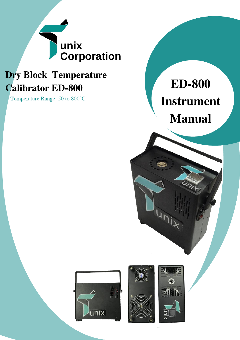

## Dry Block Temperature Calibrator ED-800

Temperature Range: 50 to 800°C

# ED-800 Instrument Manual







) i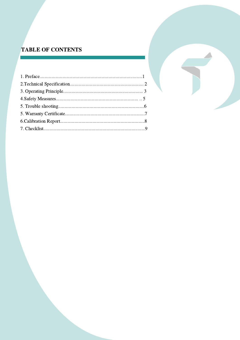#### **TABLE OF CONTENTS**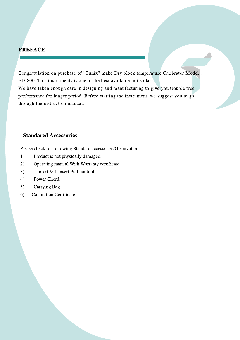#### **PREFACE**

Congratulation on purchase of "Tunix" make Dry block temperature Calibrator Model : ED-800. This instruments is one of the best available in its class. We have taken enough care in designing and manufacturing to give you trouble free performance for longer period. Before starting the instrument, we suggest you to go through the instruction manual.

#### Standared Accessories

Please check for following Standard accessories/Observation

- 1) Product is not physically damaged.
- 2) Operating manual With Warranty certificate
- 3) 1 Insert & 1 Insert Pull out tool.
- 4) Power Chord.
- 5) Carrying Bag.
- 6) Calibration Certificate.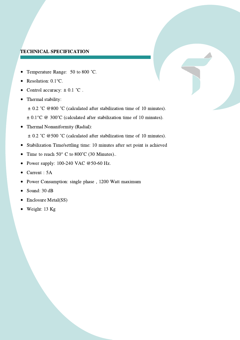#### TECHNICAL SPECIFICATION

- Temperature Range: 50 to 800 ˚C.  $\bullet$
- Resolution: 0.1°C.  $\bullet$
- Control accuracy:  $\pm$  0.1 °C.
- Thermal stability:  $\bullet$

± 0.2 ˚C @800 ˚C (calculated after stabilization time of 10 minutes).

 $\pm$  0.1°C @ 300°C (calculated after stabilization time of 10 minutes).

Thermal Nonuniformity (Radial):  $\bullet$ 

± 0.2 ˚C @500 ˚C (calculated after stabilization time of 10 minutes).

- Stabilization Time/settling time: 10 minutes after set point is achieved  $\bullet$
- Time to reach 50° C to 800°C (30 Minutes)..  $\bullet$
- Power supply: 100-240 VAC @50-60 Hz.  $\bullet$
- Current : 5A  $\bullet$
- Power Consumption: single phase , 1200 Watt maximum  $\bullet$
- Sound: 30 dB  $\bullet$
- Enclosure Metal(SS)  $\bullet$
- Weight: 13 Kg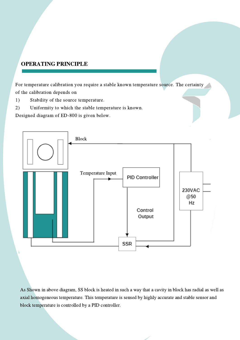#### OPERATING PRINCIPLE

For temperature calibration you require a stable known temperature source. The certainty of the calibration depends on

1) Stability of the source temperature.

2) Uniformity to which the stable temperature is known.

Designed diagram of ED-800 is given below.



As Shown in above diagram, SS block is heated in such a way that a cavity in block has radial as well as axial homogeneous temperature. This temperature is sensed by highly accurate and stable sensor and block temperature is controlled by a PID controller.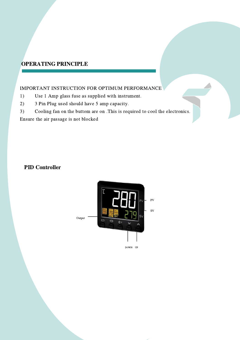#### OPERATING PRINCIPLE

#### IMPORTANT INSTRUCTION FOR OPTIMUM PERFORMANCE

- 1) Use 1 Amp glass fuse as supplied with instrument.
- 2) 3 Pin Plug used should have 5 amp capacity.
- 3) Cooling fan on the buttom are on .This is required to cool the electronics.

Ensure the air passage is not blocked

#### PID Controller

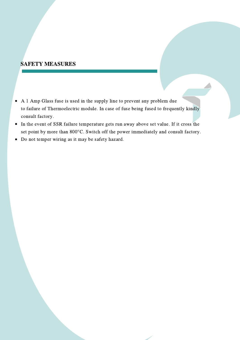#### SAFETY MEASURES

- A 1 Amp Glass fuse is used in the supply line to prevent any problem due to failure of Thermoelectric module. In case of fuse being fused to frequently kindly consult factory.
- In the event of SSR failure temperature gets run away above set value. If it cross the  $\bullet$ set point by more than 800°C. Switch off the power immediately and consult factory.
- Do not temper wiring as it may be safety hazard. $\bullet$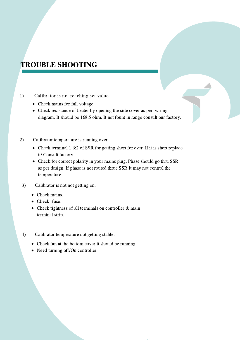## TROUBLE SHOOTING

- 1) Calibrator is not reaching set value.
	- Check mains for full voltage.
	- Check resistance of heater by opening the side cover as per wiring diagram. It should be 168.5 ohm. It not fount in range consult our factory.
- 2) Calibrator temperature is running over.
	- Check terminal 1 &2 of SSR for getting short for ever. If it is short replace it/ Consult factory.
	- Check for correct polarity in your mains plug. Phase should go thru SSR as per design. If phase is not routed thrue SSR It may not control the temperature.
- 3) Calibrator is not not getting on.
	- Check mains.
	- Check fuse.
	- Check tightness of all terminals on controller & main terminal strip.
- 4) Calibrator temperature not getting stable.
	- Check fan at the bottom cover it should be running.
	- Need turning off/On controller.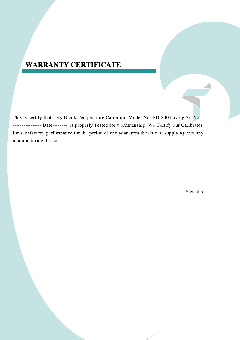## WARRANTY CERTIFICATE

This is certify that, Dry Block Temperature Calibrator Model No. ED-800 having Sr. No.---- ---------------- Date-------- is properly Tested for workmanship. We Certify our Calibrator for satisfactory performance for the period of one year from the date of supply against any manufacturing defect.

Signature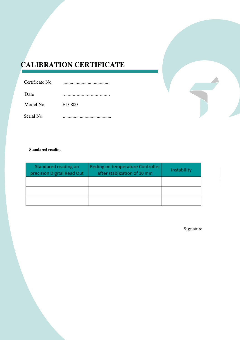## CALIBRATION CERTIFICATE

| Certificate No. |          |
|-----------------|----------|
| Date            |          |
| Model No.       | $ED-800$ |
| Serial No.      |          |

#### Standared reading

| Standared reading on<br>precision Digital Read Out | Reding on temperature Controller<br>after stablization of 10 min | Instability |
|----------------------------------------------------|------------------------------------------------------------------|-------------|
|                                                    |                                                                  |             |
|                                                    |                                                                  |             |
|                                                    |                                                                  |             |

Signature